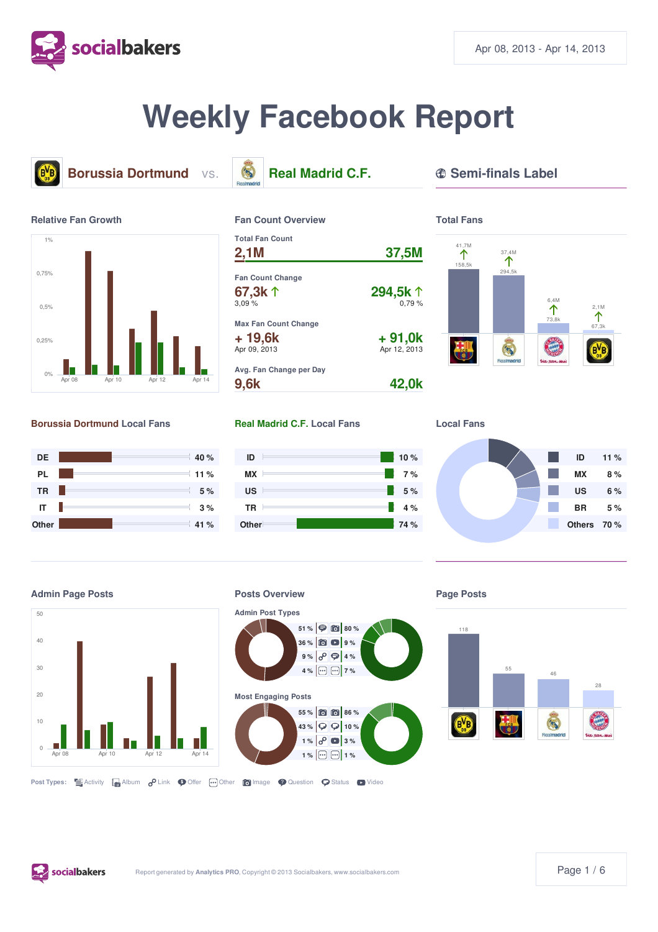

# **Weekly Facebook Report**





#### **Borussia Dortmund Local Fans Real Madrid C.F. Local Fans Local Fans**















# **Admin Post Types**



#### **Page Posts**



**Post Types: E** Activity **A** Album **P** Link **O** Offer **Image C** Question **S** Status **D** Video

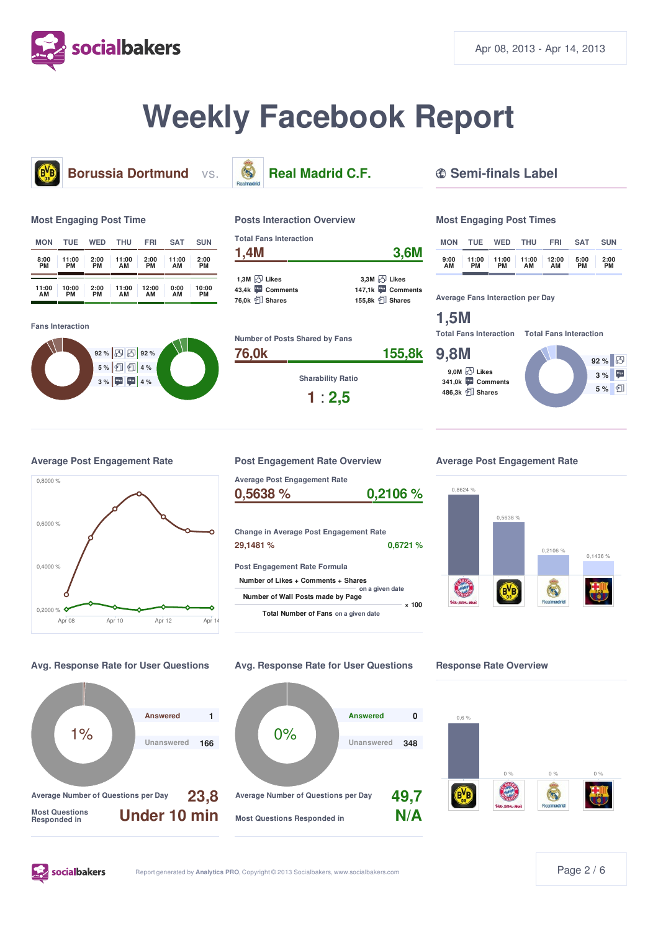

# **Weekly Facebook Report**



**Borussia Dortmund** vs. **S. Real Madrid C.F. <b>C.** Semi-finals Label

#### **Most Engaging Post Time**

| <b>MON</b> | TUE   | <b>WED</b> | <b>THU</b> | <b>FRI</b> | <b>SAT</b> | <b>SUN</b> |
|------------|-------|------------|------------|------------|------------|------------|
| 8:00       | 11:00 | 2:00       | 11:00      | 2:00       | 11:00      | 2:00       |
| РM         | PM    | PМ         | AМ         | <b>PM</b>  | AМ         | PМ         |
| 11:00      | 10:00 | 2:00       | 11:00      | 12:00      | 0:00       | 10:00      |
| ΑМ         | PM    | PМ         | ΑМ         | ΔM         | AМ         | PМ         |

**Fans Interaction**





#### **Posts Interaction Overview**

| <b>Total Fans Interaction</b><br>1,4M | 3,6M                       |  |  |
|---------------------------------------|----------------------------|--|--|
| 1,3M $\boxtimes$ Likes                | $3.3M$ $\bigcirc$ Likes    |  |  |
| 43.4k Comments                        | 147,1k Comments            |  |  |
| 76.0k <b>I</b> Shares                 | 155,8k <sup>1</sup> Shares |  |  |



**Sharability Ratio**

**1** : **2,5**

#### **Most Engaging Post Times**

| <b>MON</b> | TUE         | <b>WED</b> | <b>THU</b>                | <b>FRI</b> | <b>SAT</b>        | <b>SUN</b> |
|------------|-------------|------------|---------------------------|------------|-------------------|------------|
| 9:00<br>ΑМ | 11:00<br>PМ | PМ         | $11:00$ 11:00 12:00<br>AМ | ΑМ         | 5:00<br><b>PM</b> | 2:00<br>PM |

**Average Fans Interaction per Day**

# **1,5M**

**Total Fans Interaction Total Fans Interaction**

#### **9,8M**

**9,0M Likes 341,0k Comments 486,3k Shares**





**Average Post Engagement Rate Post Engagement Rate Overview Average Post Engagement Rate**

| Average Post Engagement Rate                |                 |
|---------------------------------------------|-----------------|
| 0,5638 %                                    | 0,2106%         |
|                                             |                 |
| Change in Average Post Engagement Rate      |                 |
| 29,1481 %                                   | 0.6721%         |
| <b>Post Engagement Rate Formula</b>         |                 |
| Number of Likes + Comments + Shares         |                 |
| Number of Wall Posts made by Page           | on a given date |
| <b>Total Number of Fans</b> on a given date | × 100           |





**socialbakers** 





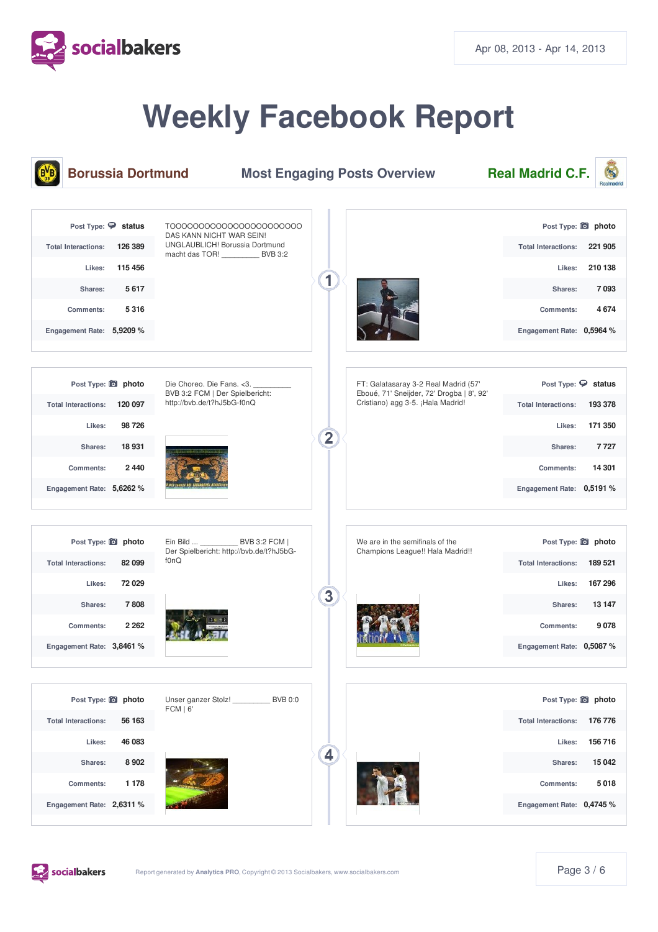

# **Weekly Facebook Report**





socialbakers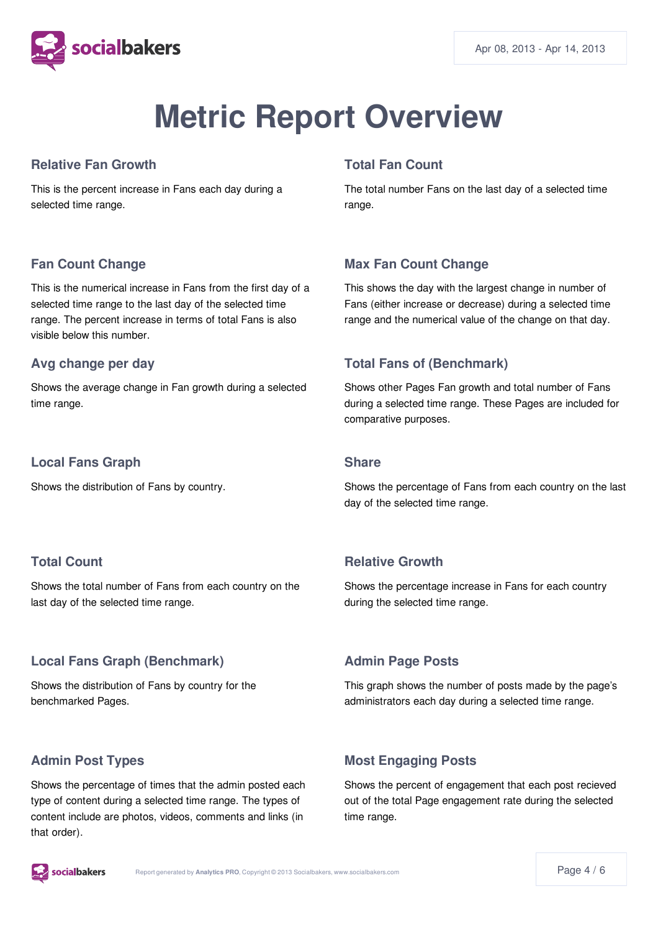

# **Metric Report Overview**

#### **Relative Fan Growth**

This is the percent increase in Fans each day during a selected time range.

## **Total Fan Count**

The total number Fans on the last day of a selected time range.

# **Fan Count Change**

This is the numerical increase in Fans from the first day of a selected time range to the last day of the selected time range. The percent increase in terms of total Fans is also visible below this number.

#### **Avg change per day**

Shows the average change in Fan growth during a selected time range.

#### **Local Fans Graph**

Shows the distribution of Fans by country.

## **Max Fan Count Change**

This shows the day with the largest change in number of Fans (either increase or decrease) during a selected time range and the numerical value of the change on that day.

# **Total Fans of (Benchmark)**

Shows other Pages Fan growth and total number of Fans during a selected time range. These Pages are included for comparative purposes.

#### **Share**

Shows the percentage of Fans from each country on the last day of the selected time range.

# **Total Count**

Shows the total number of Fans from each country on the last day of the selected time range.

## **Local Fans Graph (Benchmark)**

Shows the distribution of Fans by country for the benchmarked Pages.

## **Admin Post Types**

Shows the percentage of times that the admin posted each type of content during a selected time range. The types of content include are photos, videos, comments and links (in that order).

## **Relative Growth**

Shows the percentage increase in Fans for each country during the selected time range.

# **Admin Page Posts**

This graph shows the number of posts made by the page's administrators each day during a selected time range.

# **Most Engaging Posts**

Shows the percent of engagement that each post recieved out of the total Page engagement rate during the selected time range.

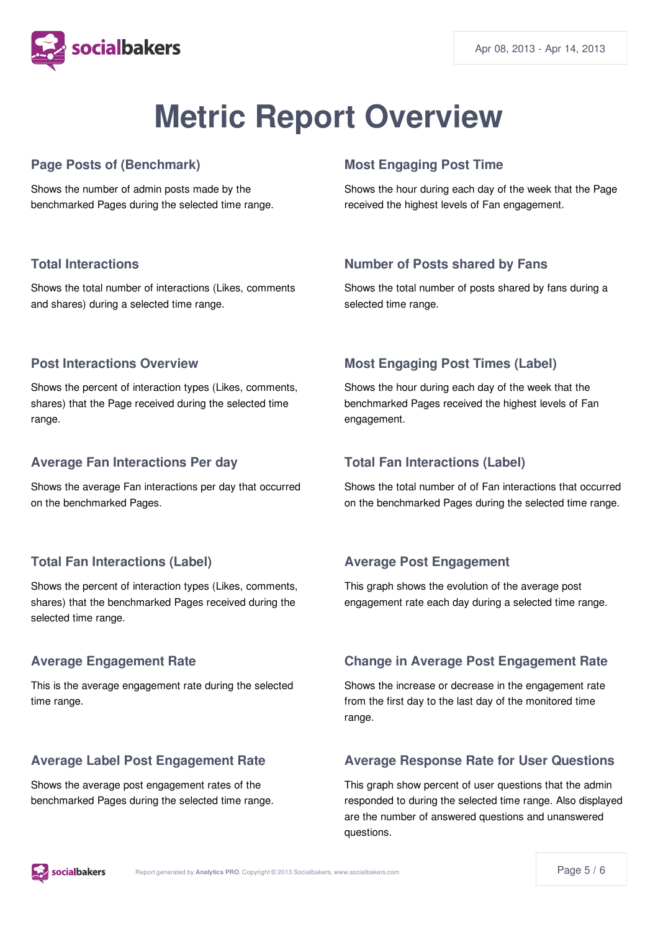

# **Metric Report Overview**

## **Page Posts of (Benchmark)**

Shows the number of admin posts made by the benchmarked Pages during the selected time range.

## **Most Engaging Post Time**

Shows the hour during each day of the week that the Page received the highest levels of Fan engagement.

## **Total Interactions**

Shows the total number of interactions (Likes, comments and shares) during a selected time range.

## **Number of Posts shared by Fans**

Shows the total number of posts shared by fans during a selected time range.

#### **Post Interactions Overview**

Shows the percent of interaction types (Likes, comments, shares) that the Page received during the selected time range.

#### **Average Fan Interactions Per day**

Shows the average Fan interactions per day that occurred on the benchmarked Pages.

## **Total Fan Interactions (Label)**

Shows the percent of interaction types (Likes, comments, shares) that the benchmarked Pages received during the selected time range.

## **Average Engagement Rate**

This is the average engagement rate during the selected time range.

## **Average Label Post Engagement Rate**

Shows the average post engagement rates of the benchmarked Pages during the selected time range.

# **Most Engaging Post Times (Label)**

Shows the hour during each day of the week that the benchmarked Pages received the highest levels of Fan engagement.

#### **Total Fan Interactions (Label)**

Shows the total number of of Fan interactions that occurred on the benchmarked Pages during the selected time range.

## **Average Post Engagement**

This graph shows the evolution of the average post engagement rate each day during a selected time range.

## **Change in Average Post Engagement Rate**

Shows the increase or decrease in the engagement rate from the first day to the last day of the monitored time range.

## **Average Response Rate for User Questions**

This graph show percent of user questions that the admin responded to during the selected time range. Also displayed are the number of answered questions and unanswered questions.